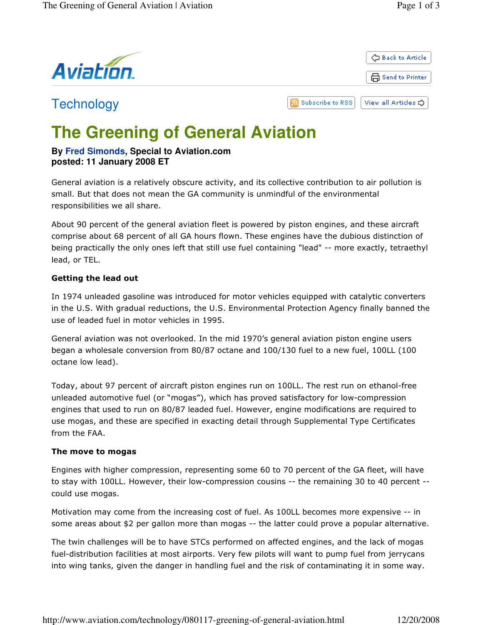



**Technology** 

**Subscribe to RSS** View all Articles C

வ

# **The Greening of General Aviation**

#### **By Fred Simonds, Special to Aviation.com posted: 11 January 2008 ET**

General aviation is a relatively obscure activity, and its collective contribution to air pollution is small. But that does not mean the GA community is unmindful of the environmental responsibilities we all share.

About 90 percent of the general aviation fleet is powered by piston engines, and these aircraft comprise about 68 percent of all GA hours flown. These engines have the dubious distinction of being practically the only ones left that still use fuel containing "lead" -- more exactly, tetraethyl lead, or TEL.

#### Getting the lead out

In 1974 unleaded gasoline was introduced for motor vehicles equipped with catalytic converters in the U.S. With gradual reductions, the U.S. Environmental Protection Agency finally banned the use of leaded fuel in motor vehicles in 1995.

General aviation was not overlooked. In the mid 1970's general aviation piston engine users began a wholesale conversion from 80/87 octane and 100/130 fuel to a new fuel, 100LL (100 octane low lead).

Today, about 97 percent of aircraft piston engines run on 100LL. The rest run on ethanol-free unleaded automotive fuel (or "mogas"), which has proved satisfactory for low-compression engines that used to run on 80/87 leaded fuel. However, engine modifications are required to use mogas, and these are specified in exacting detail through Supplemental Type Certificates from the FAA.

#### The move to mogas

Engines with higher compression, representing some 60 to 70 percent of the GA fleet, will have to stay with 100LL. However, their low-compression cousins -- the remaining 30 to 40 percent - could use mogas.

Motivation may come from the increasing cost of fuel. As 100LL becomes more expensive -- in some areas about \$2 per gallon more than mogas -- the latter could prove a popular alternative.

The twin challenges will be to have STCs performed on affected engines, and the lack of mogas fuel-distribution facilities at most airports. Very few pilots will want to pump fuel from jerrycans into wing tanks, given the danger in handling fuel and the risk of contaminating it in some way.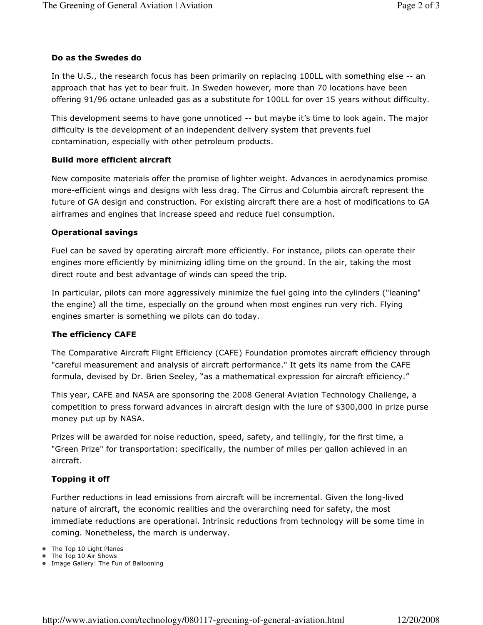### Do as the Swedes do

In the U.S., the research focus has been primarily on replacing 100LL with something else -- an approach that has yet to bear fruit. In Sweden however, more than 70 locations have been offering 91/96 octane unleaded gas as a substitute for 100LL for over 15 years without difficulty.

This development seems to have gone unnoticed -- but maybe it's time to look again. The major difficulty is the development of an independent delivery system that prevents fuel contamination, especially with other petroleum products.

## Build more efficient aircraft

New composite materials offer the promise of lighter weight. Advances in aerodynamics promise more-efficient wings and designs with less drag. The Cirrus and Columbia aircraft represent the future of GA design and construction. For existing aircraft there are a host of modifications to GA airframes and engines that increase speed and reduce fuel consumption.

## Operational savings

Fuel can be saved by operating aircraft more efficiently. For instance, pilots can operate their engines more efficiently by minimizing idling time on the ground. In the air, taking the most direct route and best advantage of winds can speed the trip.

In particular, pilots can more aggressively minimize the fuel going into the cylinders ("leaning" the engine) all the time, especially on the ground when most engines run very rich. Flying engines smarter is something we pilots can do today.

# The efficiency CAFE

The Comparative Aircraft Flight Efficiency (CAFE) Foundation promotes aircraft efficiency through "careful measurement and analysis of aircraft performance." It gets its name from the CAFE formula, devised by Dr. Brien Seeley, "as a mathematical expression for aircraft efficiency."

This year, CAFE and NASA are sponsoring the 2008 General Aviation Technology Challenge, a competition to press forward advances in aircraft design with the lure of \$300,000 in prize purse money put up by NASA.

Prizes will be awarded for noise reduction, speed, safety, and tellingly, for the first time, a "Green Prize" for transportation: specifically, the number of miles per gallon achieved in an aircraft.

# Topping it off

Further reductions in lead emissions from aircraft will be incremental. Given the long-lived nature of aircraft, the economic realities and the overarching need for safety, the most immediate reductions are operational. Intrinsic reductions from technology will be some time in coming. Nonetheless, the march is underway.

• The Top 10 Light Planes

- The Top 10 Air Shows
- Image Gallery: The Fun of Ballooning